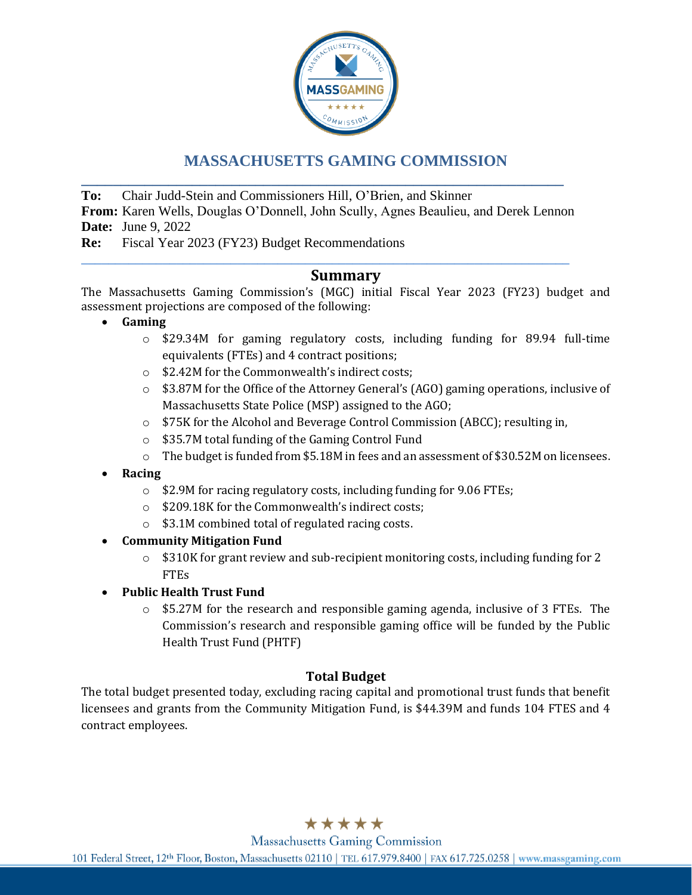

# **MASSACHUSETTS GAMING COMMISSION**

**To:** Chair Judd-Stein and Commissioners Hill, O'Brien, and Skinner

**From:** Karen Wells, Douglas O'Donnell, John Scully, Agnes Beaulieu, and Derek Lennon **Date:** June 9, 2022

**\_\_\_\_\_\_\_\_\_\_\_\_\_\_\_\_\_\_\_\_\_\_\_\_\_\_\_\_\_\_\_\_\_\_\_\_\_\_\_\_\_\_\_\_\_\_\_\_\_\_\_\_\_\_\_\_\_\_\_\_\_\_\_\_\_\_\_\_\_\_\_\_**

**\_\_\_\_\_\_\_\_\_\_\_\_\_\_\_\_\_\_\_\_\_\_\_\_\_\_\_\_\_\_\_\_\_\_\_\_\_\_\_\_\_\_\_\_\_\_\_\_\_\_\_\_\_\_\_\_\_\_\_\_\_**

**Re:** Fiscal Year 2023 (FY23) Budget Recommendations

## **Summary**

The Massachusetts Gaming Commission's (MGC) initial Fiscal Year 2023 (FY23) budget and assessment projections are composed of the following:

- **Gaming**
	- o \$29.34M for gaming regulatory costs, including funding for 89.94 full-time equivalents (FTEs) and 4 contract positions;
	- o \$2.42M for the Commonwealth's indirect costs;
	- o \$3.87M for the Office of the Attorney General's (AGO) gaming operations, inclusive of Massachusetts State Police (MSP) assigned to the AGO;
	- o \$75K for the Alcohol and Beverage Control Commission (ABCC); resulting in,
	- o \$35.7M total funding of the Gaming Control Fund
	- $\circ$  The budget is funded from \$5.18M in fees and an assessment of \$30.52M on licensees.
- **Racing**
	- o \$2.9M for racing regulatory costs, including funding for 9.06 FTEs;
	- o \$209.18K for the Commonwealth's indirect costs;
	- o \$3.1M combined total of regulated racing costs.
- **Community Mitigation Fund**
	- $\circ$  \$310K for grant review and sub-recipient monitoring costs, including funding for 2 FTEs
- **Public Health Trust Fund**
	- o \$5.27M for the research and responsible gaming agenda, inclusive of 3 FTEs. The Commission's research and responsible gaming office will be funded by the Public Health Trust Fund (PHTF)

### **Total Budget**

The total budget presented today, excluding racing capital and promotional trust funds that benefit licensees and grants from the Community Mitigation Fund, is \$44.39M and funds 104 FTES and 4 contract employees.

## \*\*\*\*\*

**Massachusetts Gaming Commission** 101 Federal Street, 12th Floor, Boston, Massachusetts 02110 | TEL 617.979.8400 | FAX 617.725.0258 | www.massgaming.com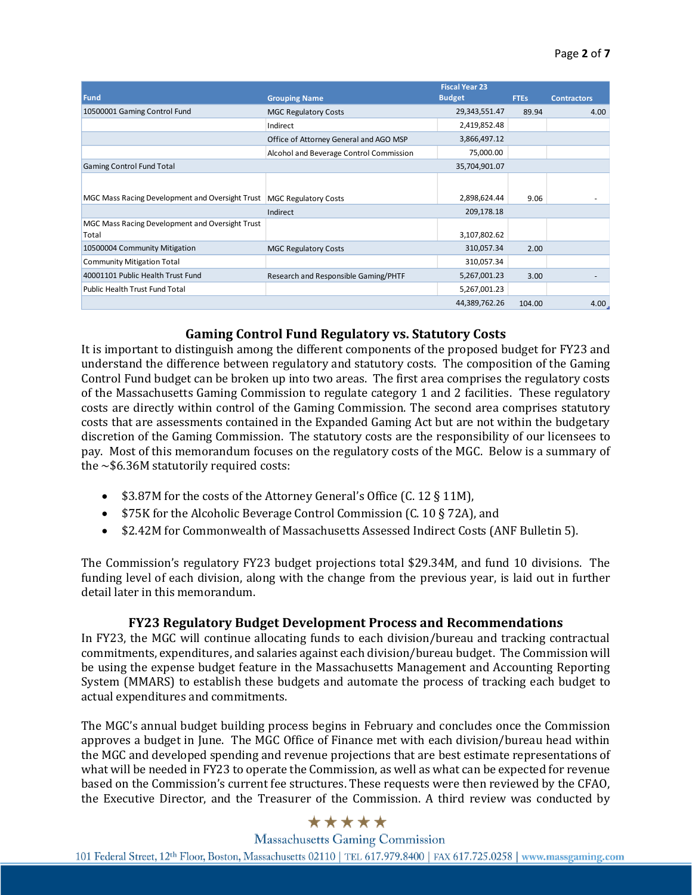|                                                 |                                         | <b>Fiscal Year 23</b> |             |                    |
|-------------------------------------------------|-----------------------------------------|-----------------------|-------------|--------------------|
| Fund                                            | <b>Grouping Name</b>                    | <b>Budget</b>         | <b>FTEs</b> | <b>Contractors</b> |
| 10500001 Gaming Control Fund                    | <b>MGC Regulatory Costs</b>             | 29,343,551.47         | 89.94       | 4.00               |
|                                                 | Indirect                                | 2,419,852.48          |             |                    |
|                                                 | Office of Attorney General and AGO MSP  | 3,866,497.12          |             |                    |
|                                                 | Alcohol and Beverage Control Commission | 75,000.00             |             |                    |
| <b>Gaming Control Fund Total</b>                |                                         | 35,704,901.07         |             |                    |
|                                                 |                                         |                       |             |                    |
| MGC Mass Racing Development and Oversight Trust | <b>MGC Regulatory Costs</b>             | 2,898,624.44          | 9.06        |                    |
|                                                 | Indirect                                | 209,178.18            |             |                    |
| MGC Mass Racing Development and Oversight Trust |                                         |                       |             |                    |
| Total                                           |                                         | 3,107,802.62          |             |                    |
| 10500004 Community Mitigation                   | <b>MGC Regulatory Costs</b>             | 310,057.34            | 2.00        |                    |
| <b>Community Mitigation Total</b>               |                                         | 310,057.34            |             |                    |
| 40001101 Public Health Trust Fund               | Research and Responsible Gaming/PHTF    | 5,267,001.23          | 3.00        |                    |
| <b>Public Health Trust Fund Total</b>           |                                         | 5,267,001.23          |             |                    |
|                                                 |                                         | 44,389,762.26         | 104.00      | 4.00               |

### **Gaming Control Fund Regulatory vs. Statutory Costs**

It is important to distinguish among the different components of the proposed budget for FY23 and understand the difference between regulatory and statutory costs. The composition of the Gaming Control Fund budget can be broken up into two areas. The first area comprises the regulatory costs of the Massachusetts Gaming Commission to regulate category 1 and 2 facilities. These regulatory costs are directly within control of the Gaming Commission. The second area comprises statutory costs that are assessments contained in the Expanded Gaming Act but are not within the budgetary discretion of the Gaming Commission. The statutory costs are the responsibility of our licensees to pay. Most of this memorandum focuses on the regulatory costs of the MGC. Below is a summary of the ~\$6.36M statutorily required costs:

- \$3.87M for the costs of the Attorney General's Office (C. 12 § 11M),
- \$75K for the Alcoholic Beverage Control Commission (C. 10 § 72A), and
- \$2.42M for Commonwealth of Massachusetts Assessed Indirect Costs (ANF Bulletin 5).

The Commission's regulatory FY23 budget projections total \$29.34M, and fund 10 divisions. The funding level of each division, along with the change from the previous year, is laid out in further detail later in this memorandum.

### **FY23 Regulatory Budget Development Process and Recommendations**

In FY23, the MGC will continue allocating funds to each division/bureau and tracking contractual commitments, expenditures, and salaries against each division/bureau budget. The Commission will be using the expense budget feature in the Massachusetts Management and Accounting Reporting System (MMARS) to establish these budgets and automate the process of tracking each budget to actual expenditures and commitments.

The MGC's annual budget building process begins in February and concludes once the Commission approves a budget in June. The MGC Office of Finance met with each division/bureau head within the MGC and developed spending and revenue projections that are best estimate representations of what will be needed in FY23 to operate the Commission, as well as what can be expected for revenue based on the Commission's current fee structures. These requests were then reviewed by the CFAO, the Executive Director, and the Treasurer of the Commission. A third review was conducted by

## \*\*\*\*\*

**Massachusetts Gaming Commission** 101 Federal Street, 12th Floor, Boston, Massachusetts 02110 | TEL 617.979.8400 | FAX 617.725.0258 | www.massgaming.com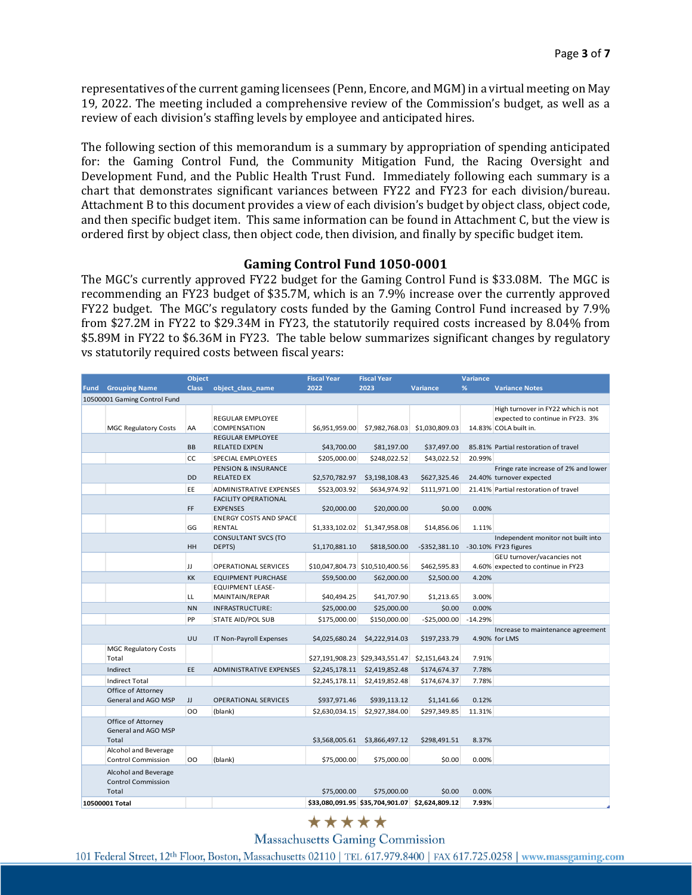representatives of the current gaming licensees (Penn, Encore, and MGM) in a virtual meeting on May 19, 2022. The meeting included a comprehensive review of the Commission's budget, as well as a review of each division's staffing levels by employee and anticipated hires.

The following section of this memorandum is a summary by appropriation of spending anticipated for: the Gaming Control Fund, the Community Mitigation Fund, the Racing Oversight and Development Fund, and the Public Health Trust Fund. Immediately following each summary is a chart that demonstrates significant variances between FY22 and FY23 for each division/bureau. Attachment B to this document provides a view of each division's budget by object class, object code, and then specific budget item. This same information can be found in Attachment C, but the view is ordered first by object class, then object code, then division, and finally by specific budget item.

#### **Gaming Control Fund 1050-0001**

The MGC's currently approved FY22 budget for the Gaming Control Fund is \$33.08M. The MGC is recommending an FY23 budget of \$35.7M, which is an 7.9% increase over the currently approved FY22 budget. The MGC's regulatory costs funded by the Gaming Control Fund increased by 7.9% from \$27.2M in FY22 to \$29.34M in FY23, the statutorily required costs increased by 8.04% from \$5.89M in FY22 to \$6.36M in FY23. The table below summarizes significant changes by regulatory vs statutorily required costs between fiscal years:

|                              | <b>Object</b> |                                | <b>Fiscal Year</b> | <b>Fiscal Year</b>                             |                 | <b>Variance</b> |                                      |
|------------------------------|---------------|--------------------------------|--------------------|------------------------------------------------|-----------------|-----------------|--------------------------------------|
| <b>Fund Grouping Name</b>    | <b>Class</b>  | object_class_name              | 2022               | 2023                                           | <b>Variance</b> | %               | <b>Variance Notes</b>                |
| 10500001 Gaming Control Fund |               |                                |                    |                                                |                 |                 |                                      |
|                              |               |                                |                    |                                                |                 |                 | High turnover in FY22 which is not   |
|                              |               | REGULAR EMPLOYEE               |                    |                                                |                 |                 | expected to continue in FY23. 3%     |
| <b>MGC Regulatory Costs</b>  | AA            | COMPENSATION                   | \$6,951,959.00     | \$7,982,768.03                                 | \$1,030,809.03  |                 | 14.83% COLA built in.                |
|                              |               | <b>REGULAR EMPLOYEE</b>        |                    |                                                |                 |                 |                                      |
|                              | <b>BB</b>     | <b>RELATED EXPEN</b>           | \$43,700.00        | \$81,197.00                                    | \$37,497.00     |                 | 85.81% Partial restoration of travel |
|                              | CC.           | <b>SPECIAL EMPLOYEES</b>       | \$205,000.00       | \$248,022.52                                   | \$43,022.52     | 20.99%          |                                      |
|                              |               | <b>PENSION &amp; INSURANCE</b> |                    |                                                |                 |                 | Fringe rate increase of 2% and lower |
|                              | <b>DD</b>     | <b>RELATED EX</b>              | \$2,570,782.97     | \$3,198,108.43                                 | \$627,325.46    |                 | 24.40% turnover expected             |
|                              | EE            | <b>ADMINISTRATIVE EXPENSES</b> | \$523,003.92       | \$634,974.92                                   | \$111.971.00    |                 | 21.41% Partial restoration of travel |
|                              |               | <b>FACILITY OPERATIONAL</b>    |                    |                                                |                 |                 |                                      |
|                              | FF            | <b>EXPENSES</b>                | \$20,000.00        | \$20,000.00                                    | \$0.00          | 0.00%           |                                      |
|                              |               | <b>ENERGY COSTS AND SPACE</b>  |                    |                                                |                 |                 |                                      |
|                              | GG            | <b>RENTAL</b>                  | \$1,333,102.02     | \$1,347,958.08                                 | \$14,856.06     | 1.11%           |                                      |
|                              |               | <b>CONSULTANT SVCS (TO</b>     |                    |                                                |                 |                 | Independent monitor not built into   |
|                              | <b>HH</b>     | DEPTS)                         | \$1,170,881.10     | \$818,500.00                                   | $-5352,381.10$  |                 | -30.10% FY23 figures                 |
|                              |               |                                |                    |                                                |                 |                 | GEU turnover/vacancies not           |
|                              | IJ            | OPERATIONAL SERVICES           |                    | \$10,047,804.73 \$10,510,400.56                | \$462,595.83    |                 | 4.60% expected to continue in FY23   |
|                              | <b>KK</b>     | <b>EQUIPMENT PURCHASE</b>      | \$59,500.00        | \$62,000.00                                    | \$2,500.00      | 4.20%           |                                      |
|                              |               | <b>EQUIPMENT LEASE-</b>        |                    |                                                |                 |                 |                                      |
|                              | LL.           | MAINTAIN/REPAR                 | \$40,494.25        | \$41,707.90                                    | \$1,213.65      | 3.00%           |                                      |
|                              | <b>NN</b>     | INFRASTRUCTURE:                | \$25,000.00        | \$25,000.00                                    | \$0.00          | 0.00%           |                                      |
|                              | PP            | <b>STATE AID/POL SUB</b>       | \$175,000.00       | \$150,000.00                                   | $-$25,000.00$   | $-14.29%$       |                                      |
|                              |               |                                |                    |                                                |                 |                 | Increase to maintenance agreement    |
|                              | UU            | IT Non-Payroll Expenses        | \$4,025,680.24     | \$4,222,914.03                                 | \$197,233.79    |                 | 4.90% for LMS                        |
| <b>MGC Regulatory Costs</b>  |               |                                |                    |                                                |                 |                 |                                      |
| Total                        |               |                                |                    | \$27,191,908.23 \$29,343,551.47                | \$2,151,643.24  | 7.91%           |                                      |
| Indirect                     | <b>EE</b>     | <b>ADMINISTRATIVE EXPENSES</b> |                    | \$2,245,178.11 \$2,419,852.48                  | \$174,674.37    | 7.78%           |                                      |
| <b>Indirect Total</b>        |               |                                | \$2,245,178.11     | \$2,419,852.48                                 | \$174,674.37    | 7.78%           |                                      |
| Office of Attorney           |               |                                |                    |                                                |                 |                 |                                      |
| General and AGO MSP          | IJ            | <b>OPERATIONAL SERVICES</b>    | \$937,971.46       | \$939,113.12                                   | \$1,141.66      | 0.12%           |                                      |
|                              | OO            | (blank)                        | \$2,630,034.15     | \$2,927,384.00                                 | \$297,349.85    | 11.31%          |                                      |
| Office of Attorney           |               |                                |                    |                                                |                 |                 |                                      |
| General and AGO MSP          |               |                                |                    |                                                |                 |                 |                                      |
| Total                        |               |                                | \$3,568,005.61     | \$3,866,497.12                                 | \$298,491.51    | 8.37%           |                                      |
| Alcohol and Beverage         |               |                                |                    |                                                |                 |                 |                                      |
| <b>Control Commission</b>    | OO            | (blank)                        | \$75,000.00        | \$75,000.00                                    | \$0.00          | 0.00%           |                                      |
| Alcohol and Beverage         |               |                                |                    |                                                |                 |                 |                                      |
| <b>Control Commission</b>    |               |                                |                    |                                                |                 |                 |                                      |
| Total                        |               |                                | \$75,000.00        | \$75,000.00                                    | \$0.00          | 0.00%           |                                      |
| 10500001 Total               |               |                                |                    | \$33,080,091.95 \$35,704,901.07 \$2,624,809.12 |                 | 7.93%           |                                      |



**Massachusetts Gaming Commission**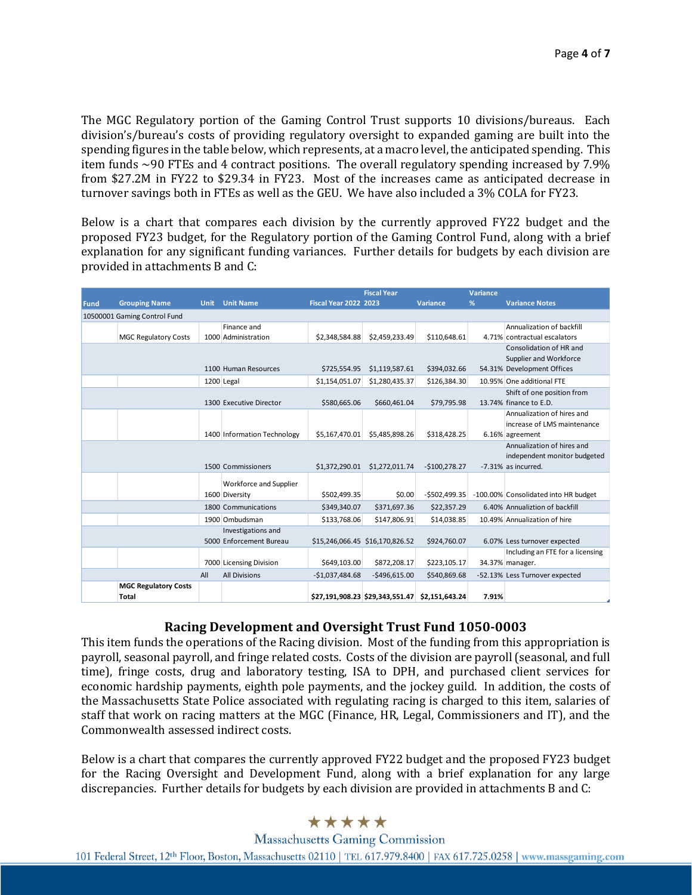The MGC Regulatory portion of the Gaming Control Trust supports 10 divisions/bureaus. Each division's/bureau's costs of providing regulatory oversight to expanded gaming are built into the spending figures in the table below, which represents, at a macro level, the anticipated spending. This item funds  $\sim$ 90 FTEs and 4 contract positions. The overall regulatory spending increased by 7.9% from \$27.2M in FY22 to \$29.34 in FY23. Most of the increases came as anticipated decrease in turnover savings both in FTEs as well as the GEU. We have also included a 3% COLA for FY23.

Below is a chart that compares each division by the currently approved FY22 budget and the proposed FY23 budget, for the Regulatory portion of the Gaming Control Fund, along with a brief explanation for any significant funding variances. Further details for budgets by each division are provided in attachments B and C:

|             |                              |             |                             | <b>Fiscal Year</b>           |                                 |                 | <b>Variance</b> |                                      |  |
|-------------|------------------------------|-------------|-----------------------------|------------------------------|---------------------------------|-----------------|-----------------|--------------------------------------|--|
| <b>Fund</b> | <b>Grouping Name</b>         | <b>Unit</b> | <b>Unit Name</b>            | <b>Fiscal Year 2022 2023</b> |                                 | <b>Variance</b> | %               | <b>Variance Notes</b>                |  |
|             | 10500001 Gaming Control Fund |             |                             |                              |                                 |                 |                 |                                      |  |
|             |                              |             | Finance and                 |                              |                                 |                 |                 | Annualization of backfill            |  |
|             | <b>MGC Regulatory Costs</b>  |             | 1000 Administration         | \$2,348,584.88               | \$2,459,233.49                  | \$110,648.61    |                 | 4.71% contractual escalators         |  |
|             |                              |             |                             |                              |                                 |                 |                 | Consolidation of HR and              |  |
|             |                              |             |                             |                              |                                 |                 |                 | Supplier and Workforce               |  |
|             |                              |             | 1100 Human Resources        | \$725,554.95                 | \$1,119,587.61                  | \$394,032.66    |                 | 54.31% Development Offices           |  |
|             |                              |             | 1200 Legal                  | \$1,154,051.07               | \$1,280,435.37                  | \$126,384.30    |                 | 10.95% One additional FTE            |  |
|             |                              |             |                             |                              |                                 |                 |                 | Shift of one position from           |  |
|             |                              |             | 1300 Executive Director     | \$580,665.06                 | \$660,461.04                    | \$79,795.98     |                 | 13.74% finance to E.D.               |  |
|             |                              |             |                             |                              |                                 |                 |                 | Annualization of hires and           |  |
|             |                              |             |                             |                              |                                 |                 |                 | increase of LMS maintenance          |  |
|             |                              |             | 1400 Information Technology | \$5,167,470.01               | \$5,485,898.26                  | \$318,428.25    |                 | 6.16% agreement                      |  |
|             |                              |             |                             |                              |                                 |                 |                 | Annualization of hires and           |  |
|             |                              |             |                             |                              |                                 |                 |                 | independent monitor budgeted         |  |
|             |                              |             | 1500 Commissioners          | \$1,372,290.01               | \$1,272,011.74                  | $-$100,278.27$  |                 | -7.31% as incurred.                  |  |
|             |                              |             | Workforce and Supplier      |                              |                                 |                 |                 |                                      |  |
|             |                              |             | 1600 Diversity              | \$502,499.35                 | \$0.00                          | $-$502,499.35$  |                 | -100.00% Consolidated into HR budget |  |
|             |                              |             | 1800 Communications         | \$349,340.07                 | \$371,697.36                    | \$22,357.29     |                 | 6.40% Annualiztion of backfill       |  |
|             |                              |             | 1900 Ombudsman              | \$133,768.06                 | \$147,806.91                    | \$14,038.85     |                 | 10.49% Annualization of hire         |  |
|             |                              |             | Investigations and          |                              |                                 |                 |                 |                                      |  |
|             |                              |             | 5000 Enforcement Bureau     |                              | \$15,246,066.45 \$16,170,826.52 | \$924,760.07    |                 | 6.07% Less turnover expected         |  |
|             |                              |             |                             |                              |                                 |                 |                 | Including an FTE for a licensing     |  |
|             |                              |             | 7000 Licensing Division     | \$649,103.00                 | \$872,208.17                    | \$223,105.17    |                 | 34.37% manager.                      |  |
|             |                              | All         | <b>All Divisions</b>        | $-$1,037,484.68$             | $-$ \$496,615.00                | \$540,869.68    |                 | -52.13% Less Turnover expected       |  |
|             | <b>MGC Regulatory Costs</b>  |             |                             |                              |                                 |                 |                 |                                      |  |
|             | Total                        |             |                             |                              | \$27,191,908.23 \$29,343,551.47 | \$2,151,643.24  | 7.91%           |                                      |  |

### **Racing Development and Oversight Trust Fund 1050-0003**

This item funds the operations of the Racing division. Most of the funding from this appropriation is payroll, seasonal payroll, and fringe related costs. Costs of the division are payroll (seasonal, and full time), fringe costs, drug and laboratory testing, ISA to DPH, and purchased client services for economic hardship payments, eighth pole payments, and the jockey guild. In addition, the costs of the Massachusetts State Police associated with regulating racing is charged to this item, salaries of staff that work on racing matters at the MGC (Finance, HR, Legal, Commissioners and IT), and the Commonwealth assessed indirect costs.

Below is a chart that compares the currently approved FY22 budget and the proposed FY23 budget for the Racing Oversight and Development Fund, along with a brief explanation for any large discrepancies. Further details for budgets by each division are provided in attachments B and C:

## \*\*\*\*\*

**Massachusetts Gaming Commission** 101 Federal Street, 12th Floor, Boston, Massachusetts 02110 | TEL 617,979,8400 | FAX 617,725,0258 | www.massgaming.com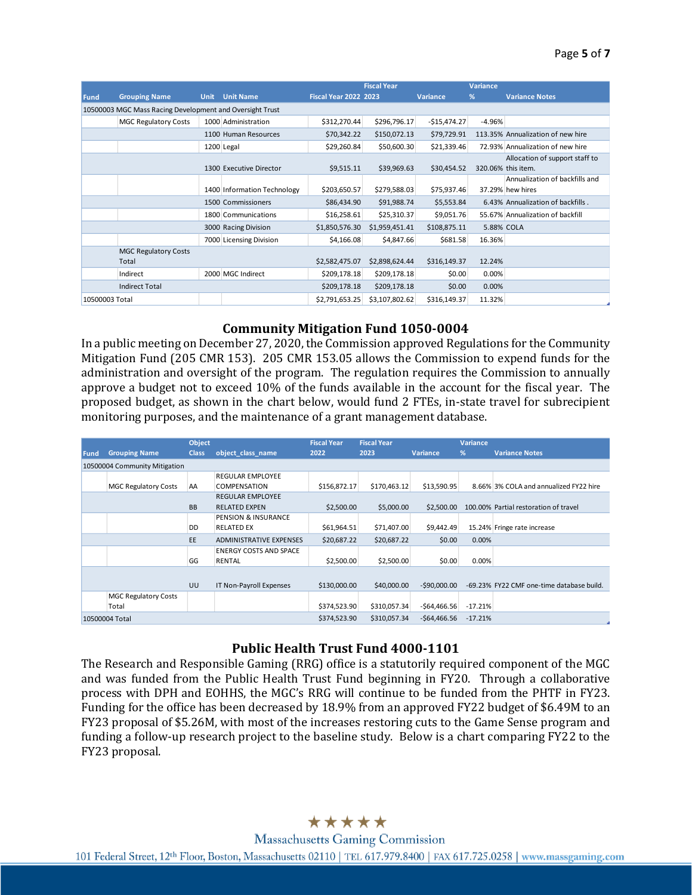|                |                                                          |             |                             |                              | <b>Fiscal Year</b> |                 | <b>Variance</b> |                                   |  |
|----------------|----------------------------------------------------------|-------------|-----------------------------|------------------------------|--------------------|-----------------|-----------------|-----------------------------------|--|
| <b>Fund</b>    | <b>Grouping Name</b>                                     | <b>Unit</b> | <b>Unit Name</b>            | <b>Fiscal Year 2022 2023</b> |                    | <b>Variance</b> | %               | <b>Variance Notes</b>             |  |
|                | 10500003 MGC Mass Racing Development and Oversight Trust |             |                             |                              |                    |                 |                 |                                   |  |
|                | <b>MGC Regulatory Costs</b>                              |             | 1000 Administration         | \$312,270.44                 | \$296,796.17       | $-$15,474.27$   | $-4.96%$        |                                   |  |
|                |                                                          |             | 1100 Human Resources        | \$70,342.22                  | \$150,072.13       | \$79,729.91     |                 | 113.35% Annualization of new hire |  |
|                |                                                          |             | 1200 Legal                  | \$29,260.84                  | \$50,600.30        | \$21,339.46     |                 | 72.93% Annualization of new hire  |  |
|                |                                                          |             |                             |                              |                    |                 |                 | Allocation of support staff to    |  |
|                |                                                          |             | 1300 Executive Director     | \$9,515.11                   | \$39,969.63        | \$30,454.52     |                 | 320.06% this item.                |  |
|                |                                                          |             |                             |                              |                    |                 |                 | Annualization of backfills and    |  |
|                |                                                          |             | 1400 Information Technology | \$203,650.57                 | \$279,588.03       | \$75,937.46     |                 | 37.29% hew hires                  |  |
|                |                                                          |             | 1500 Commissioners          | \$86,434.90                  | \$91,988.74        | \$5,553.84      |                 | 6.43% Annualization of backfills. |  |
|                |                                                          |             | 1800 Communications         | \$16,258.61                  | \$25,310.37        | \$9,051.76      |                 | 55.67% Annualization of backfill  |  |
|                |                                                          |             | 3000 Racing Division        | \$1,850,576.30               | \$1,959,451.41     | \$108,875.11    | 5.88% COLA      |                                   |  |
|                |                                                          |             | 7000 Licensing Division     | \$4,166.08                   | \$4,847.66         | \$681.58        | 16.36%          |                                   |  |
|                | <b>MGC Regulatory Costs</b>                              |             |                             |                              |                    |                 |                 |                                   |  |
|                | Total                                                    |             |                             | \$2,582,475.07               | \$2,898,624.44     | \$316,149.37    | 12.24%          |                                   |  |
|                | Indirect                                                 |             | 2000 MGC Indirect           | \$209,178.18                 | \$209,178.18       | \$0.00          | 0.00%           |                                   |  |
|                | <b>Indirect Total</b>                                    |             |                             | \$209,178.18                 | \$209,178.18       | \$0.00          | 0.00%           |                                   |  |
| 10500003 Total |                                                          |             |                             | \$2,791,653.25               | \$3,107,802.62     | \$316,149.37    | 11.32%          |                                   |  |

#### **Community Mitigation Fund 1050-0004**

In a public meeting on December 27, 2020, the Commission approved Regulations for the Community Mitigation Fund (205 CMR 153). 205 CMR 153.05 allows the Commission to expend funds for the administration and oversight of the program. The regulation requires the Commission to annually approve a budget not to exceed 10% of the funds available in the account for the fiscal year. The proposed budget, as shown in the chart below, would fund 2 FTEs, in-state travel for subrecipient monitoring purposes, and the maintenance of a grant management database.

|             |                               | <b>Object</b> |                                | <b>Fiscal Year</b> | <b>Fiscal Year</b> |                 | Variance  |                                           |
|-------------|-------------------------------|---------------|--------------------------------|--------------------|--------------------|-----------------|-----------|-------------------------------------------|
| <b>Fund</b> | <b>Grouping Name</b>          | <b>Class</b>  | object_class_name              | 2022               | 2023               | <b>Variance</b> | %         | <b>Variance Notes</b>                     |
|             | 10500004 Community Mitigation |               |                                |                    |                    |                 |           |                                           |
|             |                               |               | <b>REGULAR EMPLOYEE</b>        |                    |                    |                 |           |                                           |
|             | <b>MGC Regulatory Costs</b>   | AA            | COMPENSATION                   | \$156,872.17       | \$170,463.12       | \$13,590.95     |           | 8.66% 3% COLA and annualized FY22 hire    |
|             |                               |               | REGULAR EMPLOYEE               |                    |                    |                 |           |                                           |
|             |                               | <b>BB</b>     | <b>RELATED EXPEN</b>           | \$2,500.00         | \$5,000.00         | \$2,500.00      |           | 100.00% Partial restoration of travel     |
|             |                               |               | PENSION & INSURANCE            |                    |                    |                 |           |                                           |
|             |                               | <b>DD</b>     | <b>RELATED EX</b>              | \$61,964.51        | \$71,407.00        | \$9,442.49      |           | 15.24% Fringe rate increase               |
|             |                               | EE            | <b>ADMINISTRATIVE EXPENSES</b> | \$20,687.22        | \$20,687.22        | \$0.00          | 0.00%     |                                           |
|             |                               |               | <b>ENERGY COSTS AND SPACE</b>  |                    |                    |                 |           |                                           |
|             |                               | GG            | <b>RENTAL</b>                  | \$2,500.00         | \$2,500.00         | \$0.00          | 0.00%     |                                           |
|             |                               |               |                                |                    |                    |                 |           |                                           |
|             |                               | UU            | IT Non-Payroll Expenses        | \$130,000.00       | \$40,000.00        | $-$ \$90.000.00 |           | -69.23% FY22 CMF one-time database build. |
|             | <b>MGC Regulatory Costs</b>   |               |                                |                    |                    |                 |           |                                           |
|             | Total                         |               |                                | \$374,523.90       | \$310,057.34       | $-564,466.56$   | $-17.21%$ |                                           |
|             | 10500004 Total                |               |                                | \$374,523.90       | \$310,057.34       | $-$64,466.56$   | $-17.21%$ |                                           |

### **Public Health Trust Fund 4000-1101**

The Research and Responsible Gaming (RRG) office is a statutorily required component of the MGC and was funded from the Public Health Trust Fund beginning in FY20. Through a collaborative process with DPH and EOHHS, the MGC's RRG will continue to be funded from the PHTF in FY23. Funding for the office has been decreased by 18.9% from an approved FY22 budget of \$6.49M to an FY23 proposal of \$5.26M, with most of the increases restoring cuts to the Game Sense program and funding a follow-up research project to the baseline study. Below is a chart comparing FY22 to the FY23 proposal.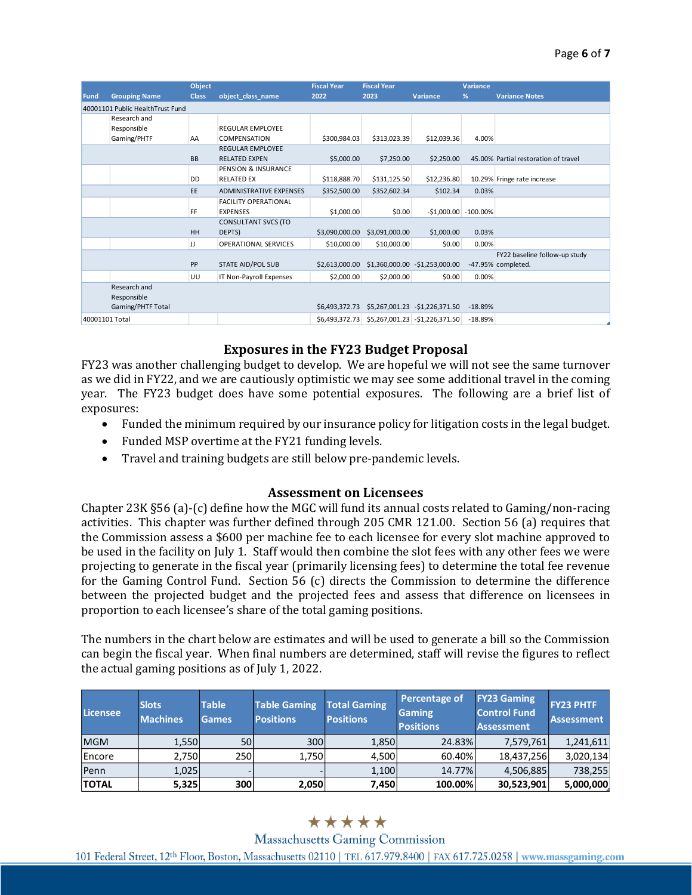|                |                                  | <b>Object</b><br><b>Fiscal Year</b><br><b>Fiscal Year</b> |                                |                | <b>Variance</b> |                                 |           |                                      |
|----------------|----------------------------------|-----------------------------------------------------------|--------------------------------|----------------|-----------------|---------------------------------|-----------|--------------------------------------|
| <b>Fund</b>    | <b>Grouping Name</b>             | <b>Class</b>                                              | object_class_name              | 2022           | 2023            | <b>Variance</b>                 | %         | <b>Variance Notes</b>                |
|                | 40001101 Public HealthTrust Fund |                                                           |                                |                |                 |                                 |           |                                      |
|                | Research and                     |                                                           |                                |                |                 |                                 |           |                                      |
|                | Responsible                      |                                                           | <b>REGULAR EMPLOYEE</b>        |                |                 |                                 |           |                                      |
|                | Gaming/PHTF                      | AA                                                        | <b>COMPENSATION</b>            | \$300.984.03   | \$313,023.39    | \$12,039.36                     | 4.00%     |                                      |
|                |                                  |                                                           | <b>REGULAR EMPLOYEE</b>        |                |                 |                                 |           |                                      |
|                |                                  | <b>BB</b>                                                 | <b>RELATED EXPEN</b>           | \$5,000.00     | \$7,250.00      | \$2,250.00                      |           | 45.00% Partial restoration of travel |
|                |                                  |                                                           | <b>PENSION &amp; INSURANCE</b> |                |                 |                                 |           |                                      |
|                |                                  | DD                                                        | <b>RELATED EX</b>              | \$118,888.70   | \$131,125.50    | \$12,236.80                     |           | 10.29% Fringe rate increase          |
|                |                                  | EE.                                                       | <b>ADMINISTRATIVE EXPENSES</b> | \$352,500.00   | \$352,602.34    | \$102.34                        | 0.03%     |                                      |
|                |                                  |                                                           | <b>FACILITY OPERATIONAL</b>    |                |                 |                                 |           |                                      |
|                |                                  | FF.                                                       | <b>EXPENSES</b>                | \$1,000.00     | \$0.00          | $-51,000.00$ $-100.00%$         |           |                                      |
|                |                                  |                                                           | <b>CONSULTANT SVCS (TO</b>     |                |                 |                                 |           |                                      |
|                |                                  | HH                                                        | DEPTS)                         | \$3,090,000.00 | \$3,091,000.00  | \$1,000.00                      | 0.03%     |                                      |
|                |                                  | IJ                                                        | <b>OPERATIONAL SERVICES</b>    | \$10,000.00    | \$10,000.00     | \$0.00                          | 0.00%     |                                      |
|                |                                  |                                                           |                                |                |                 |                                 |           | FY22 baseline follow-up study        |
|                |                                  | PP                                                        | STATE AID/POL SUB              | \$2,613,000.00 |                 | \$1,360,000.00 -\$1,253,000.00  |           | -47.95% completed.                   |
|                |                                  | UU                                                        | IT Non-Payroll Expenses        | \$2,000.00     | \$2,000.00      | \$0.00                          | 0.00%     |                                      |
|                | Research and                     |                                                           |                                |                |                 |                                 |           |                                      |
|                | Responsible                      |                                                           |                                |                |                 |                                 |           |                                      |
|                | Gaming/PHTF Total                |                                                           |                                | \$6,493,372.73 |                 | \$5,267,001.23 - \$1,226,371.50 | $-18.89%$ |                                      |
| 40001101 Total |                                  |                                                           |                                | \$6,493,372.73 |                 | \$5,267,001.23 - \$1,226,371.50 | $-18.89%$ |                                      |

### **Exposures in the FY23 Budget Proposal**

FY23 was another challenging budget to develop. We are hopeful we will not see the same turnover as we did in FY22, and we are cautiously optimistic we may see some additional travel in the coming year. The FY23 budget does have some potential exposures. The following are a brief list of exposures:

- Funded the minimum required by our insurance policy for litigation costs in the legal budget.
- Funded MSP overtime at the FY21 funding levels.
- Travel and training budgets are still below pre-pandemic levels.

#### **Assessment on Licensees**

Chapter 23K §56 (a)-(c) define how the MGC will fund its annual costs related to Gaming/non-racing activities. This chapter was further defined through 205 CMR 121.00. Section 56 (a) requires that the Commission assess a \$600 per machine fee to each licensee for every slot machine approved to be used in the facility on July 1. Staff would then combine the slot fees with any other fees we were projecting to generate in the fiscal year (primarily licensing fees) to determine the total fee revenue for the Gaming Control Fund. Section 56 (c) directs the Commission to determine the difference between the projected budget and the projected fees and assess that difference on licensees in proportion to each licensee's share of the total gaming positions.

The numbers in the chart below are estimates and will be used to generate a bill so the Commission can begin the fiscal year. When final numbers are determined, staff will revise the figures to reflect the actual gaming positions as of July 1, 2022.

| Licensee     | <b>Slots</b><br><b>Machines</b> | <b>Table</b><br><b>Games</b> | <b>Table Gaming</b><br><b>Positions</b> | Total Gaming<br><b>Positions</b> | Percentage of<br><b>Gaming</b><br><b>Positions</b> | <b>FY23 Gaming</b><br><b>Control Fund</b><br><b>Assessment</b> | <b>FY23 PHTF</b><br>Assessment |
|--------------|---------------------------------|------------------------------|-----------------------------------------|----------------------------------|----------------------------------------------------|----------------------------------------------------------------|--------------------------------|
| <b>MGM</b>   | 1,550                           | 50                           | 300                                     | 1,850                            | 24.83%                                             | 7,579,761                                                      | 1,241,611                      |
| Encore       | 2,750                           | 250                          | 1,750                                   | 4.500                            | 60.40%                                             | 18,437,256                                                     | 3,020,134                      |
| Penn         | 1,025                           |                              |                                         | 1,100                            | 14.77%                                             | 4,506,885                                                      | 738,255                        |
| <b>TOTAL</b> | 5,325                           | 300                          | 2,050                                   | 7,450                            | 100.00%                                            | 30,523,901                                                     | 5,000,000                      |